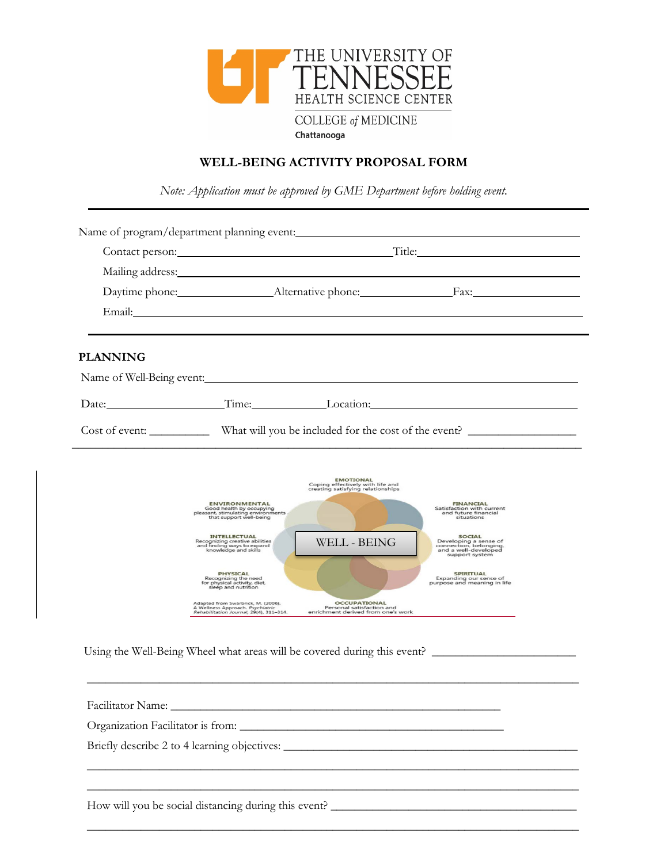

## **WELL-BEING ACTIVITY PROPOSAL FORM**

*Note: Application must be approved by GME Department before holding event.*

|                 | Contact person: Title: Title:                                                                                                                                                                                                                                                                                                                                                                                                                           |                                                                                                               |                                                                                                                                                                                                                                                                                                                                                     |  |
|-----------------|---------------------------------------------------------------------------------------------------------------------------------------------------------------------------------------------------------------------------------------------------------------------------------------------------------------------------------------------------------------------------------------------------------------------------------------------------------|---------------------------------------------------------------------------------------------------------------|-----------------------------------------------------------------------------------------------------------------------------------------------------------------------------------------------------------------------------------------------------------------------------------------------------------------------------------------------------|--|
|                 | Mailing address: National Accounts and Accounts and Accounts and Accounts and Accounts and Accounts and Accounts and Accounts and Accounts and Accounts and Accounts and Accounts and Accounts and Accounts and Accounts and A                                                                                                                                                                                                                          |                                                                                                               |                                                                                                                                                                                                                                                                                                                                                     |  |
|                 |                                                                                                                                                                                                                                                                                                                                                                                                                                                         |                                                                                                               |                                                                                                                                                                                                                                                                                                                                                     |  |
|                 | Email: The Commission of the Commission of the Commission of the Commission of the Commission of the Commission of the Commission of the Commission of the Commission of the Commission of the Commission of the Commission of                                                                                                                                                                                                                          |                                                                                                               |                                                                                                                                                                                                                                                                                                                                                     |  |
| <b>PLANNING</b> |                                                                                                                                                                                                                                                                                                                                                                                                                                                         |                                                                                                               |                                                                                                                                                                                                                                                                                                                                                     |  |
|                 | Name of Well-Being event:                                                                                                                                                                                                                                                                                                                                                                                                                               |                                                                                                               |                                                                                                                                                                                                                                                                                                                                                     |  |
|                 |                                                                                                                                                                                                                                                                                                                                                                                                                                                         |                                                                                                               | Date: Time: Location: Location:                                                                                                                                                                                                                                                                                                                     |  |
|                 |                                                                                                                                                                                                                                                                                                                                                                                                                                                         |                                                                                                               | Cost of event: What will you be included for the cost of the event?                                                                                                                                                                                                                                                                                 |  |
|                 | <b>ENVIRONMENTAL</b><br>Good health by occupying<br>pleasant, stimulating environments<br>that support well-being<br><b>INTELLECTUAL</b><br>Recognizing creative abilities<br>and finding ways to expand<br>knowledge and skills<br><b>PHYSICAL</b><br>Recognizing the need<br>for physical activity, diet,<br>sleep and nutrition<br>Adapted from Swarbrick, M. (2006).<br>A Wellness Approach. Psychiatric<br>Rehabilitation Journal, 29(4), 311-314. | <b>WELL - BEING</b><br><b>OCCUPATIONAL</b><br>Personal satisfaction and<br>enrichment derived from one's work | <b>FINANCIAL</b><br>Satisfaction with current<br>and future financial<br>situations<br><b>SOCIAL</b><br>Developing a sense of<br>connection, belonging,<br>and a well-developed<br>support system<br>SPIRITUAL<br>Expanding our sense of<br>purpose and meaning in life<br>Using the Well-Being Wheel what areas will be covered during this event? |  |
|                 |                                                                                                                                                                                                                                                                                                                                                                                                                                                         |                                                                                                               |                                                                                                                                                                                                                                                                                                                                                     |  |
|                 |                                                                                                                                                                                                                                                                                                                                                                                                                                                         |                                                                                                               |                                                                                                                                                                                                                                                                                                                                                     |  |
|                 |                                                                                                                                                                                                                                                                                                                                                                                                                                                         |                                                                                                               | Briefly describe 2 to 4 learning objectives: ___________________________________                                                                                                                                                                                                                                                                    |  |

 $\overline{\phantom{a}}$  , and the contribution of the contribution of the contribution of the contribution of the contribution of the contribution of the contribution of the contribution of the contribution of the contribution of the

 $\overline{\phantom{a}}$  ,  $\overline{\phantom{a}}$  ,  $\overline{\phantom{a}}$  ,  $\overline{\phantom{a}}$  ,  $\overline{\phantom{a}}$  ,  $\overline{\phantom{a}}$  ,  $\overline{\phantom{a}}$  ,  $\overline{\phantom{a}}$  ,  $\overline{\phantom{a}}$  ,  $\overline{\phantom{a}}$  ,  $\overline{\phantom{a}}$  ,  $\overline{\phantom{a}}$  ,  $\overline{\phantom{a}}$  ,  $\overline{\phantom{a}}$  ,  $\overline{\phantom{a}}$  ,  $\overline{\phantom{a}}$ 

How will you be social distancing during this event? \_\_\_\_\_\_\_\_\_\_\_\_\_\_\_\_\_\_\_\_\_\_\_\_\_\_\_\_\_\_\_\_\_\_\_\_\_\_\_\_\_